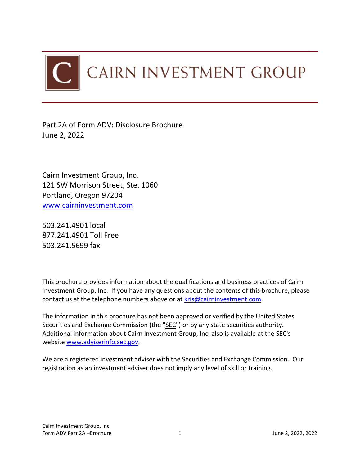

Part 2A of Form ADV: Disclosure Brochure June 2, 2022

Cairn Investment Group, Inc. 121 SW Morrison Street, Ste. 1060 Portland, Oregon 97204 [www.cairninvestment.com](http://www.cairninvestment.com/) 

503.241.4901 local 877.241.4901 Toll Free 503.241.5699 fax

This brochure provides information about the qualifications and business practices of Cairn Investment Group, Inc. If you have any questions about the contents of this brochure, please contact us at the telephone numbers above or at [kris@cairninvestment.com.](mailto:kris@cairninvestment.com)

The information in this brochure has not been approved or verified by the United States Securities and Exchange Commission (the "SEC") or by any state securities authority. Additional information about Cairn Investment Group, Inc. also is available at the SEC's website [www.adviserinfo.sec.gov.](http://www.adviserinfo.sec.gov/)

We are a registered investment adviser with the Securities and Exchange Commission. Our registration as an investment adviser does not imply any level of skill or training.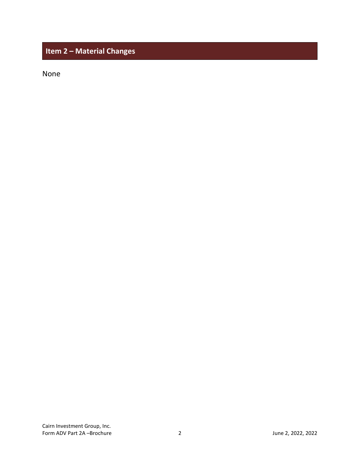# <span id="page-1-0"></span>**Item 2 – Material Changes**

None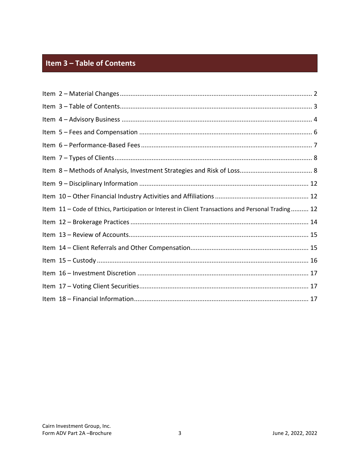# <span id="page-2-0"></span>Item 3 - Table of Contents

| Item 11 - Code of Ethics, Participation or Interest in Client Transactions and Personal Trading 12 |
|----------------------------------------------------------------------------------------------------|
|                                                                                                    |
|                                                                                                    |
|                                                                                                    |
|                                                                                                    |
|                                                                                                    |
|                                                                                                    |
|                                                                                                    |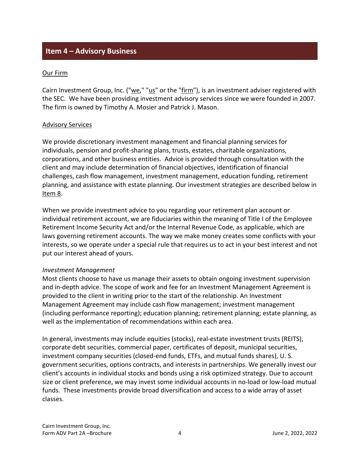# <span id="page-3-0"></span>**Item 4 – Advisory Business**

#### Our Firm

Cairn Investment Group, Inc. ("we," "us" or the "firm"), is an investment adviser registered with the SEC. We have been providing investment advisory services since we were founded in 2007. The firm is owned by Timothy A. Mosier and Patrick J. Mason.

#### Advisory Services

We provide discretionary investment management and financial planning services for individuals, pension and profit-sharing plans, trusts, estates, charitable organizations, corporations, and other business entities. Advice is provided through consultation with the client and may include determination of financial objectives, identification of financial challenges, cash flow management, investment management, education funding, retirement planning, and assistance with estate planning. Our investment strategies are described below in Item 8.

When we provide investment advice to you regarding your retirement plan account or individual retirement account, we are fiduciaries within the meaning of Title I of the Employee Retirement Income Security Act and/or the Internal Revenue Code, as applicable, which are laws governing retirement accounts. The way we make money creates some conflicts with your interests, so we operate under a special rule that requires us to act in your best interest and not put our interest ahead of yours.

### *Investment Management*

Most clients choose to have us manage their assets to obtain ongoing investment supervision and in-depth advice. The scope of work and fee for an Investment Management Agreement is provided to the client in writing prior to the start of the relationship. An Investment Management Agreement may include cash flow management; investment management (including performance reporting); education planning; retirement planning; estate planning, as well as the implementation of recommendations within each area.

In general, investments may include equities (stocks), real-estate investment trusts (REITS), corporate debt securities, commercial paper, certificates of deposit, municipal securities, investment company securities (closed-end funds, ETFs, and mutual funds shares), U. S. government securities, options contracts, and interests in partnerships. We generally invest our client's accounts in individual stocks and bonds using a risk optimized strategy. Due to account size or client preference, we may invest some individual accounts in no-load or low-load mutual funds. These investments provide broad diversification and access to a wide array of asset classes.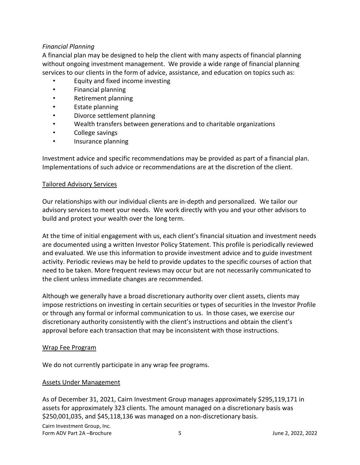### *Financial Planning*

A financial plan may be designed to help the client with many aspects of financial planning without ongoing investment management. We provide a wide range of financial planning services to our clients in the form of advice, assistance, and education on topics such as:

- Equity and fixed income investing
- Financial planning
- Retirement planning
- Estate planning
- Divorce settlement planning
- Wealth transfers between generations and to charitable organizations
- College savings
- Insurance planning

Investment advice and specific recommendations may be provided as part of a financial plan. Implementations of such advice or recommendations are at the discretion of the client.

#### Tailored Advisory Services

Our relationships with our individual clients are in-depth and personalized. We tailor our advisory services to meet your needs. We work directly with you and your other advisors to build and protect your wealth over the long term.

At the time of initial engagement with us, each client's financial situation and investment needs are documented using a written Investor Policy Statement. This profile is periodically reviewed and evaluated. We use this information to provide investment advice and to guide investment activity. Periodic reviews may be held to provide updates to the specific courses of action that need to be taken. More frequent reviews may occur but are not necessarily communicated to the client unless immediate changes are recommended.

Although we generally have a broad discretionary authority over client assets, clients may impose restrictions on investing in certain securities or types of securities in the Investor Profile or through any formal or informal communication to us. In those cases, we exercise our discretionary authority consistently with the client's instructions and obtain the client's approval before each transaction that may be inconsistent with those instructions.

#### Wrap Fee Program

We do not currently participate in any wrap fee programs.

### Assets Under Management

As of December 31, 2021, Cairn Investment Group manages approximately \$295,119,171 in assets for approximately 323 clients. The amount managed on a discretionary basis was \$250,001,035, and \$45,118,136 was managed on a non-discretionary basis.

Cairn Investment Group, Inc. Form ADV Part 2A –Brochure 5 June 2, 2022, 2022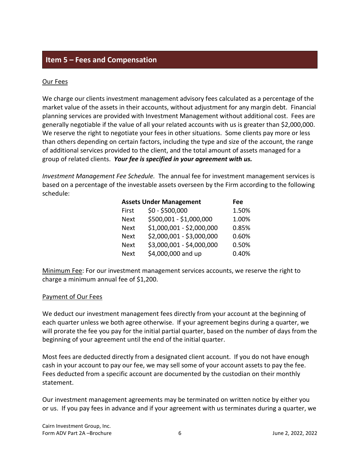## <span id="page-5-0"></span>**Item 5 – Fees and Compensation**

### Our Fees

We charge our clients investment management advisory fees calculated as a percentage of the market value of the assets in their accounts, without adjustment for any margin debt. Financial planning services are provided with Investment Management without additional cost. Fees are generally negotiable if the value of all your related accounts with us is greater than \$2,000,000. We reserve the right to negotiate your fees in other situations. Some clients pay more or less than others depending on certain factors, including the type and size of the account, the range of additional services provided to the client, and the total amount of assets managed for a group of related clients. *Your fee is specified in your agreement with us.*

*Investment Management Fee Schedule.* The annual fee for investment management services is based on a percentage of the investable assets overseen by the Firm according to the following schedule:

| <b>Assets Under Management</b> | Fee                       |       |
|--------------------------------|---------------------------|-------|
| First                          | $$0 - $500,000$           | 1.50% |
| <b>Next</b>                    | \$500,001 - \$1,000,000   | 1.00% |
| <b>Next</b>                    | \$1,000,001 - \$2,000,000 | 0.85% |
| <b>Next</b>                    | \$2,000,001 - \$3,000,000 | 0.60% |
| <b>Next</b>                    | \$3,000,001 - \$4,000,000 | 0.50% |
| <b>Next</b>                    | \$4,000,000 and up        | 0.40% |

Minimum Fee: For our investment management services accounts, we reserve the right to charge a minimum annual fee of \$1,200.

### Payment of Our Fees

We deduct our investment management fees directly from your account at the beginning of each quarter unless we both agree otherwise. If your agreement begins during a quarter, we will prorate the fee you pay for the initial partial quarter, based on the number of days from the beginning of your agreement until the end of the initial quarter.

Most fees are deducted directly from a designated client account. If you do not have enough cash in your account to pay our fee, we may sell some of your account assets to pay the fee. Fees deducted from a specific account are documented by the custodian on their monthly statement.

Our investment management agreements may be terminated on written notice by either you or us. If you pay fees in advance and if your agreement with us terminates during a quarter, we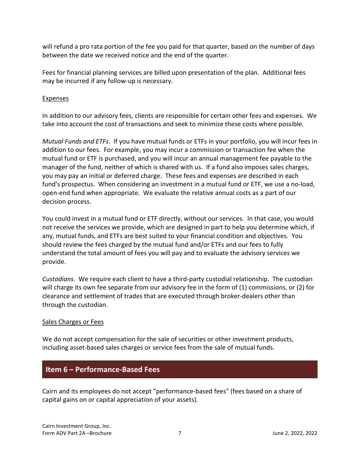will refund a pro rata portion of the fee you paid for that quarter, based on the number of days between the date we received notice and the end of the quarter.

Fees for financial planning services are billed upon presentation of the plan. Additional fees may be incurred if any follow-up is necessary.

### Expenses

In addition to our advisory fees, clients are responsible for certain other fees and expenses. We take into account the cost of transactions and seek to minimize these costs where possible.

*Mutual Funds and ETFs*. If you have mutual funds or ETFs in your portfolio, you will incur fees in addition to our fees. For example, you may incur a commission or transaction fee when the mutual fund or ETF is purchased, and you will incur an annual management fee payable to the manager of the fund, neither of which is shared with us. If a fund also imposes sales charges, you may pay an initial or deferred charge. These fees and expenses are described in each fund's prospectus. When considering an investment in a mutual fund or ETF, we use a no-load, open-end fund when appropriate. We evaluate the relative annual costs as a part of our decision process.

You could invest in a mutual fund or ETF directly, without our services. In that case, you would not receive the services we provide, which are designed in part to help you determine which, if any, mutual funds, and ETFs are best suited to your financial condition and objectives. You should review the fees charged by the mutual fund and/or ETFs and our fees to fully understand the total amount of fees you will pay and to evaluate the advisory services we provide.

*Custodians*. We require each client to have a third-party custodial relationship. The custodian will charge its own fee separate from our advisory fee in the form of (1) commissions, or (2) for clearance and settlement of trades that are executed through broker-dealers other than through the custodian.

### Sales Charges or Fees

We do not accept compensation for the sale of securities or other investment products, including asset-based sales charges or service fees from the sale of mutual funds.

# <span id="page-6-0"></span>**Item 6 – Performance-Based Fees**

Cairn and its employees do not accept "performance-based fees" (fees based on a share of capital gains on or capital appreciation of your assets).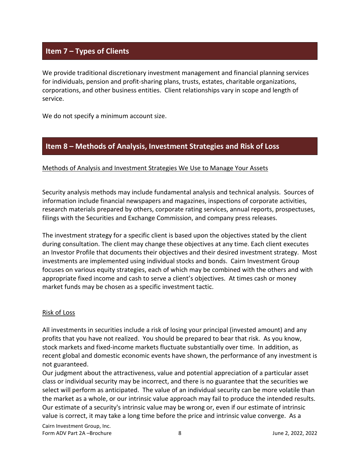# <span id="page-7-0"></span>**Item 7 – Types of Clients**

We provide traditional discretionary investment management and financial planning services for individuals, pension and profit-sharing plans, trusts, estates, charitable organizations, corporations, and other business entities. Client relationships vary in scope and length of service.

We do not specify a minimum account size.

# <span id="page-7-1"></span>**Item 8 – Methods of Analysis, Investment Strategies and Risk of Loss**

### Methods of Analysis and Investment Strategies We Use to Manage Your Assets

Security analysis methods may include fundamental analysis and technical analysis. Sources of information include financial newspapers and magazines, inspections of corporate activities, research materials prepared by others, corporate rating services, annual reports, prospectuses, filings with the Securities and Exchange Commission, and company press releases.

The investment strategy for a specific client is based upon the objectives stated by the client during consultation. The client may change these objectives at any time. Each client executes an Investor Profile that documents their objectives and their desired investment strategy. Most investments are implemented using individual stocks and bonds. Cairn Investment Group focuses on various equity strategies, each of which may be combined with the others and with appropriate fixed income and cash to serve a client's objectives. At times cash or money market funds may be chosen as a specific investment tactic.

### Risk of Loss

All investments in securities include a risk of losing your principal (invested amount) and any profits that you have not realized. You should be prepared to bear that risk. As you know, stock markets and fixed-income markets fluctuate substantially over time. In addition, as recent global and domestic economic events have shown, the performance of any investment is not guaranteed.

Our judgment about the attractiveness, value and potential appreciation of a particular asset class or individual security may be incorrect, and there is no guarantee that the securities we select will perform as anticipated. The value of an individual security can be more volatile than the market as a whole, or our intrinsic value approach may fail to produce the intended results. Our estimate of a security's intrinsic value may be wrong or, even if our estimate of intrinsic value is correct, it may take a long time before the price and intrinsic value converge. As a

Cairn Investment Group, Inc. Form ADV Part 2A –Brochure 8 June 2, 2022, 2022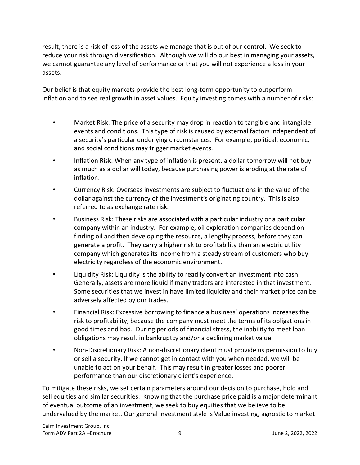result, there is a risk of loss of the assets we manage that is out of our control. We seek to reduce your risk through diversification. Although we will do our best in managing your assets, we cannot guarantee any level of performance or that you will not experience a loss in your assets.

Our belief is that equity markets provide the best long-term opportunity to outperform inflation and to see real growth in asset values. Equity investing comes with a number of risks:

- Market Risk: The price of a security may drop in reaction to tangible and intangible events and conditions. This type of risk is caused by external factors independent of a security's particular underlying circumstances. For example, political, economic, and social conditions may trigger market events.
- Inflation Risk: When any type of inflation is present, a dollar tomorrow will not buy as much as a dollar will today, because purchasing power is eroding at the rate of inflation.
- Currency Risk: Overseas investments are subject to fluctuations in the value of the dollar against the currency of the investment's originating country. This is also referred to as exchange rate risk.
- Business Risk: These risks are associated with a particular industry or a particular company within an industry. For example, oil exploration companies depend on finding oil and then developing the resource, a lengthy process, before they can generate a profit. They carry a higher risk to profitability than an electric utility company which generates its income from a steady stream of customers who buy electricity regardless of the economic environment.
- Liquidity Risk: Liquidity is the ability to readily convert an investment into cash. Generally, assets are more liquid if many traders are interested in that investment. Some securities that we invest in have limited liquidity and their market price can be adversely affected by our trades.
- Financial Risk: Excessive borrowing to finance a business' operations increases the risk to profitability, because the company must meet the terms of its obligations in good times and bad. During periods of financial stress, the inability to meet loan obligations may result in bankruptcy and/or a declining market value.
- Non-Discretionary Risk: A non-discretionary client must provide us permission to buy or sell a security. If we cannot get in contact with you when needed, we will be unable to act on your behalf. This may result in greater losses and poorer performance than our discretionary client's experience.

To mitigate these risks, we set certain parameters around our decision to purchase, hold and sell equities and similar securities. Knowing that the purchase price paid is a major determinant of eventual outcome of an investment, we seek to buy equities that we believe to be undervalued by the market. Our general investment style is Value investing, agnostic to market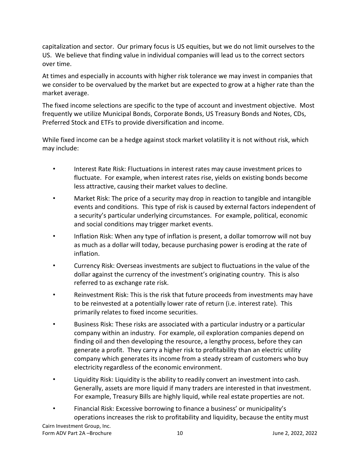capitalization and sector. Our primary focus is US equities, but we do not limit ourselves to the US. We believe that finding value in individual companies will lead us to the correct sectors over time.

At times and especially in accounts with higher risk tolerance we may invest in companies that we consider to be overvalued by the market but are expected to grow at a higher rate than the market average.

The fixed income selections are specific to the type of account and investment objective. Most frequently we utilize Municipal Bonds, Corporate Bonds, US Treasury Bonds and Notes, CDs, Preferred Stock and ETFs to provide diversification and income.

While fixed income can be a hedge against stock market volatility it is not without risk, which may include:

- Interest Rate Risk: Fluctuations in interest rates may cause investment prices to fluctuate. For example, when interest rates rise, yields on existing bonds become less attractive, causing their market values to decline.
- Market Risk: The price of a security may drop in reaction to tangible and intangible events and conditions. This type of risk is caused by external factors independent of a security's particular underlying circumstances. For example, political, economic and social conditions may trigger market events.
- Inflation Risk: When any type of inflation is present, a dollar tomorrow will not buy as much as a dollar will today, because purchasing power is eroding at the rate of inflation.
- Currency Risk: Overseas investments are subject to fluctuations in the value of the dollar against the currency of the investment's originating country. This is also referred to as exchange rate risk.
- Reinvestment Risk: This is the risk that future proceeds from investments may have to be reinvested at a potentially lower rate of return (i.e. interest rate). This primarily relates to fixed income securities.
- Business Risk: These risks are associated with a particular industry or a particular company within an industry. For example, oil exploration companies depend on finding oil and then developing the resource, a lengthy process, before they can generate a profit. They carry a higher risk to profitability than an electric utility company which generates its income from a steady stream of customers who buy electricity regardless of the economic environment.
- Liquidity Risk: Liquidity is the ability to readily convert an investment into cash. Generally, assets are more liquid if many traders are interested in that investment. For example, Treasury Bills are highly liquid, while real estate properties are not.
- Financial Risk: Excessive borrowing to finance a business' or municipality's operations increases the risk to profitability and liquidity, because the entity must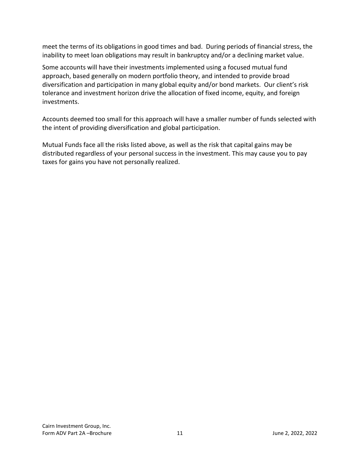meet the terms of its obligations in good times and bad. During periods of financial stress, the inability to meet loan obligations may result in bankruptcy and/or a declining market value.

Some accounts will have their investments implemented using a focused mutual fund approach, based generally on modern portfolio theory, and intended to provide broad diversification and participation in many global equity and/or bond markets. Our client's risk tolerance and investment horizon drive the allocation of fixed income, equity, and foreign investments.

Accounts deemed too small for this approach will have a smaller number of funds selected with the intent of providing diversification and global participation.

Mutual Funds face all the risks listed above, as well as the risk that capital gains may be distributed regardless of your personal success in the investment. This may cause you to pay taxes for gains you have not personally realized.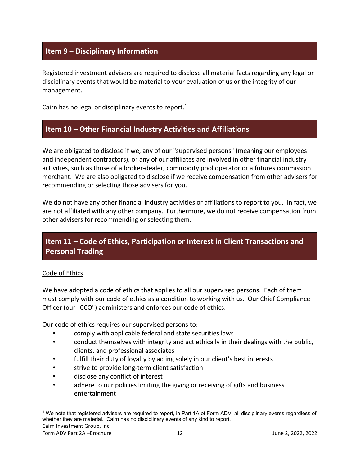# <span id="page-11-0"></span>**Item 9 – Disciplinary Information**

Registered investment advisers are required to disclose all material facts regarding any legal or disciplinary events that would be material to your evaluation of us or the integrity of our management.

Cairn has no legal or disciplinary events to report.<sup>[1](#page-11-3)</sup>

### <span id="page-11-1"></span>**Item 10 – Other Financial Industry Activities and Affiliations**

We are obligated to disclose if we, any of our "supervised persons" (meaning our employees and independent contractors), or any of our affiliates are involved in other financial industry activities, such as those of a broker-dealer, commodity pool operator or a futures commission merchant. We are also obligated to disclose if we receive compensation from other advisers for recommending or selecting those advisers for you.

We do not have any other financial industry activities or affiliations to report to you. In fact, we are not affiliated with any other company. Furthermore, we do not receive compensation from other advisers for recommending or selecting them.

# <span id="page-11-2"></span>**Item 11 – Code of Ethics, Participation or Interest in Client Transactions and Personal Trading**

### Code of Ethics

We have adopted a code of ethics that applies to all our supervised persons. Each of them must comply with our code of ethics as a condition to working with us. Our Chief Compliance Officer (our "CCO") administers and enforces our code of ethics.

Our code of ethics requires our supervised persons to:

- comply with applicable federal and state securities laws
- conduct themselves with integrity and act ethically in their dealings with the public, clients, and professional associates
- fulfill their duty of loyalty by acting solely in our client's best interests
- strive to provide long-term client satisfaction
- disclose any conflict of interest
- adhere to our policies limiting the giving or receiving of gifts and business entertainment

<span id="page-11-3"></span><sup>1</sup> We note that registered advisers are required to report, in Part 1A of Form ADV, all disciplinary events regardless of whether they are material. Cairn has no disciplinary events of any kind to report.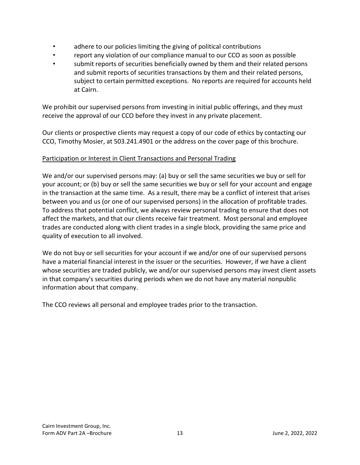- adhere to our policies limiting the giving of political contributions
- report any violation of our compliance manual to our CCO as soon as possible
- submit reports of securities beneficially owned by them and their related persons and submit reports of securities transactions by them and their related persons, subject to certain permitted exceptions. No reports are required for accounts held at Cairn.

We prohibit our supervised persons from investing in initial public offerings, and they must receive the approval of our CCO before they invest in any private placement.

Our clients or prospective clients may request a copy of our code of ethics by contacting our CCO, Timothy Mosier, at 503.241.4901 or the address on the cover page of this brochure.

### Participation or Interest in Client Transactions and Personal Trading

We and/or our supervised persons may: (a) buy or sell the same securities we buy or sell for your account; or (b) buy or sell the same securities we buy or sell for your account and engage in the transaction at the same time. As a result, there may be a conflict of interest that arises between you and us (or one of our supervised persons) in the allocation of profitable trades. To address that potential conflict, we always review personal trading to ensure that does not affect the markets, and that our clients receive fair treatment. Most personal and employee trades are conducted along with client trades in a single block, providing the same price and quality of execution to all involved.

We do not buy or sell securities for your account if we and/or one of our supervised persons have a material financial interest in the issuer or the securities. However, if we have a client whose securities are traded publicly, we and/or our supervised persons may invest client assets in that company's securities during periods when we do not have any material nonpublic information about that company.

The CCO reviews all personal and employee trades prior to the transaction.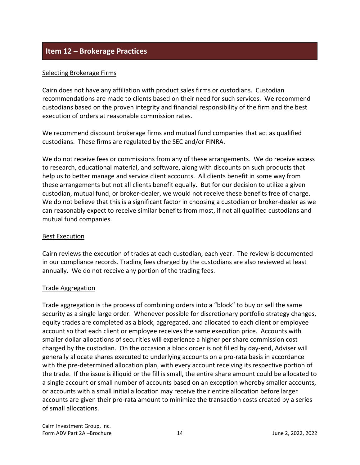# <span id="page-13-0"></span>**Item 12 – Brokerage Practices**

### Selecting Brokerage Firms

Cairn does not have any affiliation with product sales firms or custodians. Custodian recommendations are made to clients based on their need for such services. We recommend custodians based on the proven integrity and financial responsibility of the firm and the best execution of orders at reasonable commission rates.

We recommend discount brokerage firms and mutual fund companies that act as qualified custodians. These firms are regulated by the SEC and/or FINRA.

We do not receive fees or commissions from any of these arrangements. We do receive access to research, educational material, and software, along with discounts on such products that help us to better manage and service client accounts. All clients benefit in some way from these arrangements but not all clients benefit equally. But for our decision to utilize a given custodian, mutual fund, or broker-dealer, we would not receive these benefits free of charge. We do not believe that this is a significant factor in choosing a custodian or broker-dealer as we can reasonably expect to receive similar benefits from most, if not all qualified custodians and mutual fund companies.

### Best Execution

Cairn reviews the execution of trades at each custodian, each year. The review is documented in our compliance records. Trading fees charged by the custodians are also reviewed at least annually. We do not receive any portion of the trading fees.

### Trade Aggregation

Trade aggregation is the process of combining orders into a "block" to buy or sell the same security as a single large order. Whenever possible for discretionary portfolio strategy changes, equity trades are completed as a block, aggregated, and allocated to each client or employee account so that each client or employee receives the same execution price. Accounts with smaller dollar allocations of securities will experience a higher per share commission cost charged by the custodian. On the occasion a block order is not filled by day-end, Adviser will generally allocate shares executed to underlying accounts on a pro-rata basis in accordance with the pre-determined allocation plan, with every account receiving its respective portion of the trade. If the issue is illiquid or the fill is small, the entire share amount could be allocated to a single account or small number of accounts based on an exception whereby smaller accounts, or accounts with a small initial allocation may receive their entire allocation before larger accounts are given their pro-rata amount to minimize the transaction costs created by a series of small allocations.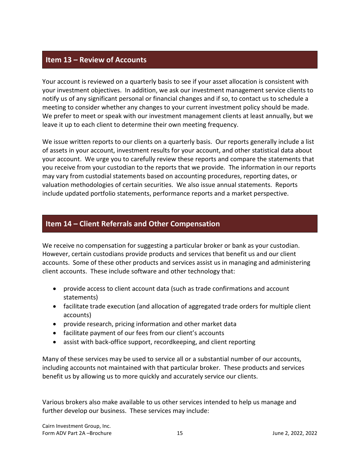## <span id="page-14-0"></span>**Item 13 – Review of Accounts**

Your account is reviewed on a quarterly basis to see if your asset allocation is consistent with your investment objectives. In addition, we ask our investment management service clients to notify us of any significant personal or financial changes and if so, to contact us to schedule a meeting to consider whether any changes to your current investment policy should be made. We prefer to meet or speak with our investment management clients at least annually, but we leave it up to each client to determine their own meeting frequency.

We issue written reports to our clients on a quarterly basis. Our reports generally include a list of assets in your account, investment results for your account, and other statistical data about your account. We urge you to carefully review these reports and compare the statements that you receive from your custodian to the reports that we provide. The information in our reports may vary from custodial statements based on accounting procedures, reporting dates, or valuation methodologies of certain securities. We also issue annual statements. Reports include updated portfolio statements, performance reports and a market perspective.

# <span id="page-14-1"></span>**Item 14 – Client Referrals and Other Compensation**

We receive no compensation for suggesting a particular broker or bank as your custodian. However, certain custodians provide products and services that benefit us and our client accounts. Some of these other products and services assist us in managing and administering client accounts. These include software and other technology that:

- provide access to client account data (such as trade confirmations and account statements)
- facilitate trade execution (and allocation of aggregated trade orders for multiple client accounts)
- provide research, pricing information and other market data
- facilitate payment of our fees from our client's accounts
- assist with back-office support, recordkeeping, and client reporting

Many of these services may be used to service all or a substantial number of our accounts, including accounts not maintained with that particular broker. These products and services benefit us by allowing us to more quickly and accurately service our clients.

Various brokers also make available to us other services intended to help us manage and further develop our business. These services may include: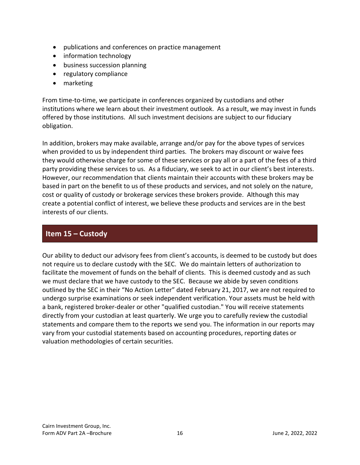- publications and conferences on practice management
- information technology
- business succession planning
- regulatory compliance
- marketing

From time-to-time, we participate in conferences organized by custodians and other institutions where we learn about their investment outlook. As a result, we may invest in funds offered by those institutions. All such investment decisions are subject to our fiduciary obligation.

In addition, brokers may make available, arrange and/or pay for the above types of services when provided to us by independent third parties. The brokers may discount or waive fees they would otherwise charge for some of these services or pay all or a part of the fees of a third party providing these services to us. As a fiduciary, we seek to act in our client's best interests. However, our recommendation that clients maintain their accounts with these brokers may be based in part on the benefit to us of these products and services, and not solely on the nature, cost or quality of custody or brokerage services these brokers provide. Although this may create a potential conflict of interest, we believe these products and services are in the best interests of our clients.

# <span id="page-15-0"></span>**Item 15 – Custody**

Our ability to deduct our advisory fees from client's accounts, is deemed to be custody but does not require us to declare custody with the SEC. We do maintain letters of authorization to facilitate the movement of funds on the behalf of clients. This is deemed custody and as such we must declare that we have custody to the SEC. Because we abide by seven conditions outlined by the SEC in their "No Action Letter" dated February 21, 2017, we are not required to undergo surprise examinations or seek independent verification. Your assets must be held with a bank, registered broker-dealer or other "qualified custodian." You will receive statements directly from your custodian at least quarterly. We urge you to carefully review the custodial statements and compare them to the reports we send you. The information in our reports may vary from your custodial statements based on accounting procedures, reporting dates or valuation methodologies of certain securities.